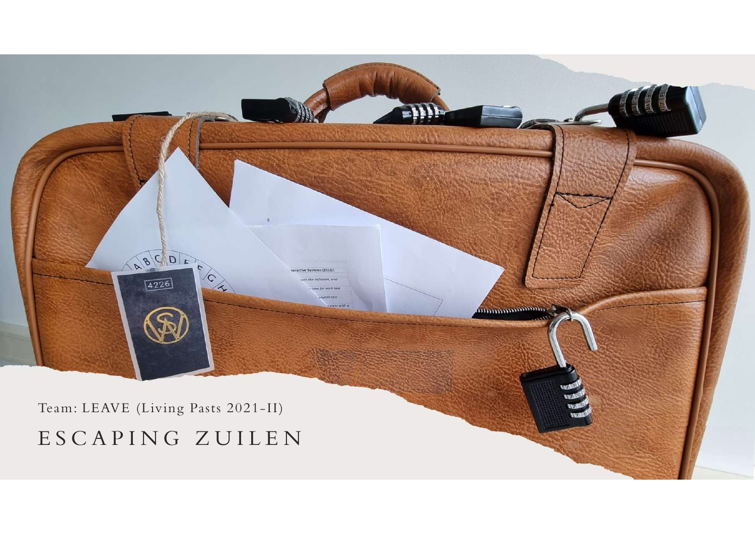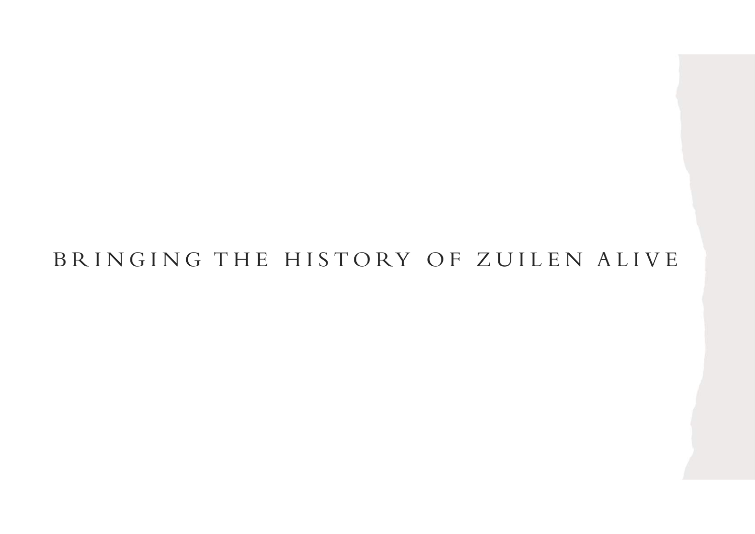# BRINGING THE HISTORY OF ZUILEN ALIVE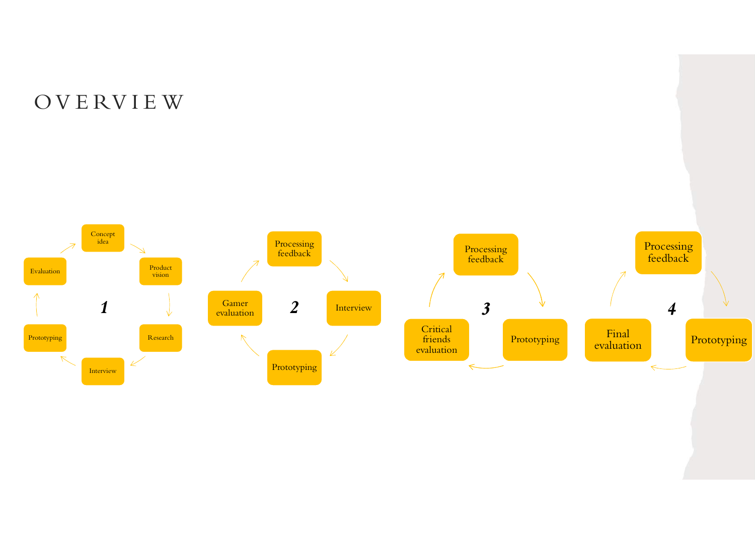# O V E RV I E W

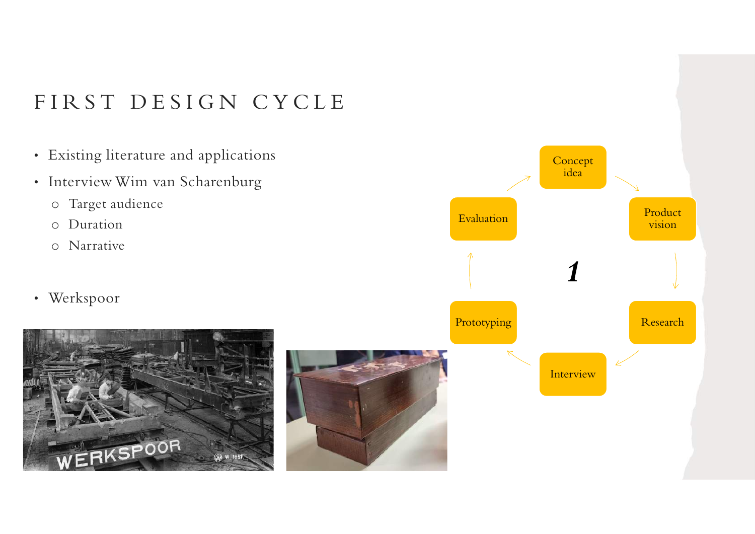# FIRST DESIGN CYCLE<br>• Existing literature and applications

- Existing literature and applications
- Interview Wim van Scharenburg
	- o Target audience
	- o Duration
	- o Narrative
- Werkspoor





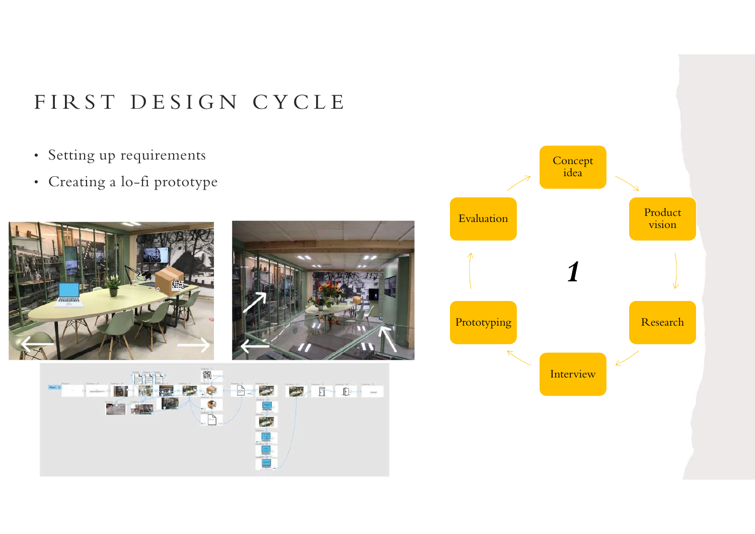- Setting up requirements
- Creating a lo-fi prototype







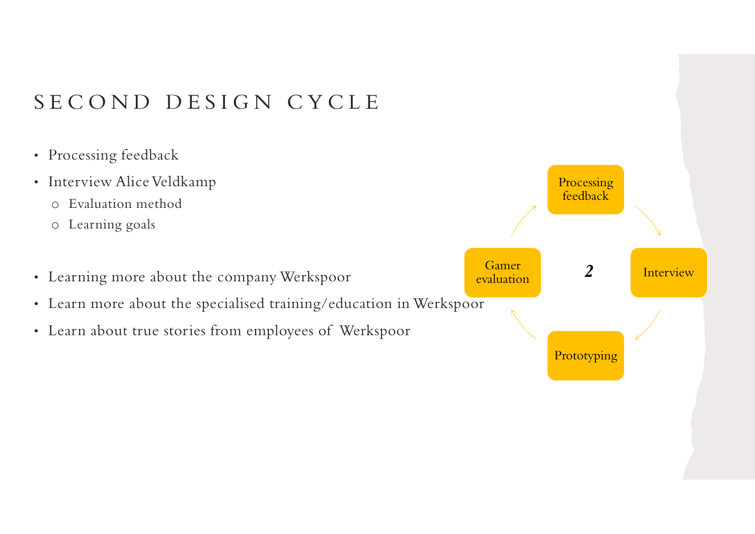- Processing feedback
- Interview Alice Veldkamp
	- o Evaluation method
	- o Learning goals
- Learning more about the company Werkspoor
- Learn more about the specialised training/education in Werkspoor
- Learn about true stories from employees of Werkspoor

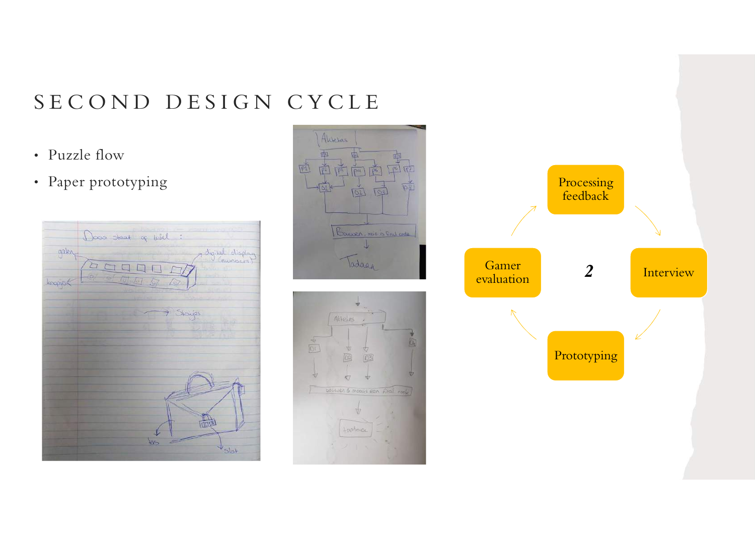# $S E C O N D D E S I G N C Y C L E$ <br>
Puzzle flow

- 
- 







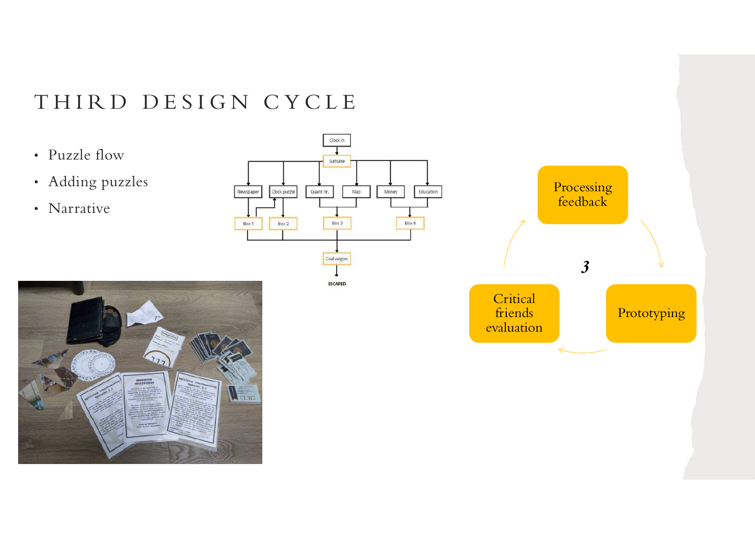- 
- Adding puzzles
- Narrative





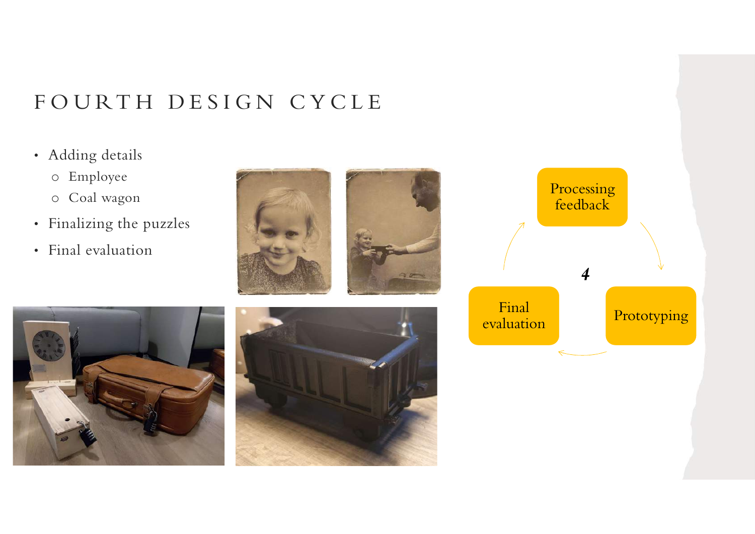# F O U R T H D E S I G N C Y C L E<br>• Adding details

- Adding details
	- o Employee
	- o Coal wagon
- Finalizing the puzzles
- Final evaluation







|                     | Processing<br>feedback |  |
|---------------------|------------------------|--|
| Final<br>evaluation | Prototyping            |  |
|                     |                        |  |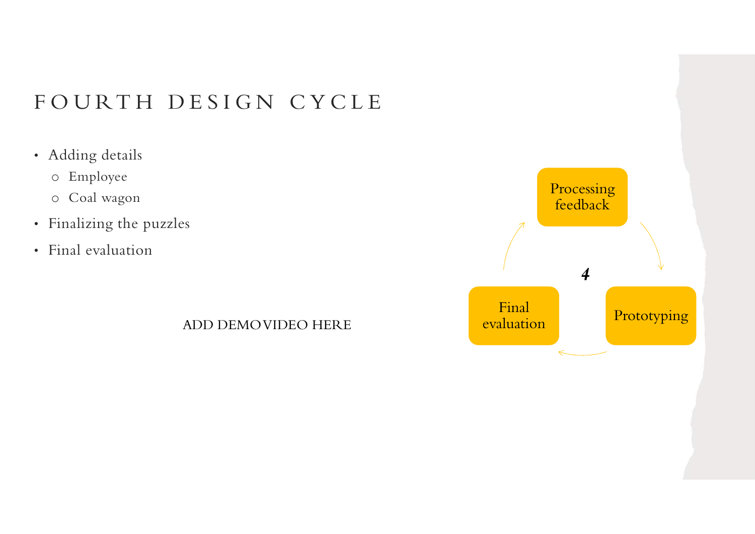# F O U R T H D E S I G N C Y C L E<br>• Adding details

- Adding details
	- o Employee
	- o Coal wagon
- Finalizing the puzzles
- Final evaluation

ADD DEMO VIDEO HERE

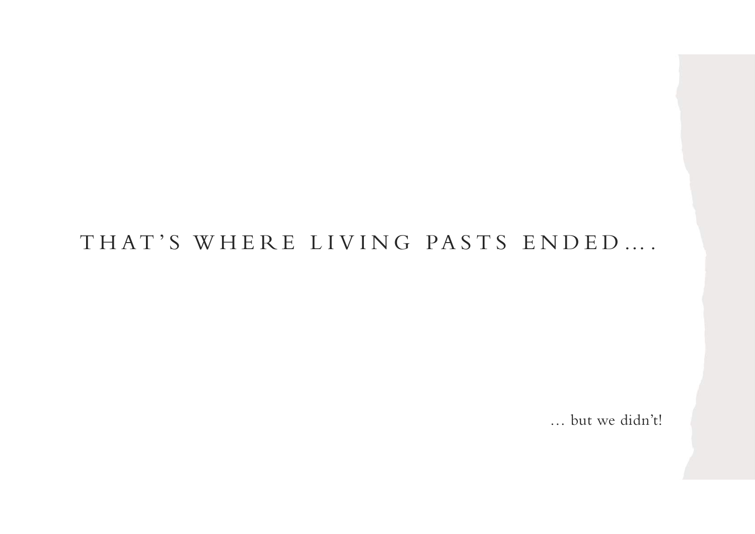# THAT'S WHERE LIVING PASTS ENDED....

… but we didn't!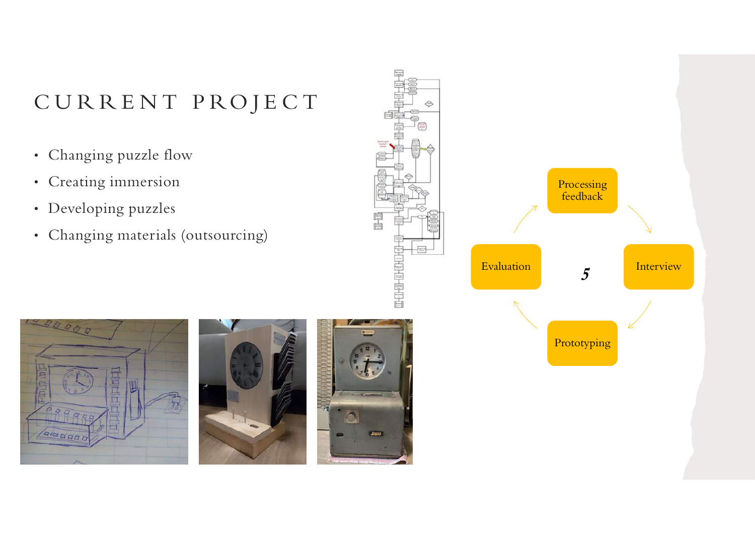- Changing puzzle flow
- Creating immersion
- Developing puzzles
- Changing materials (outsourcing)